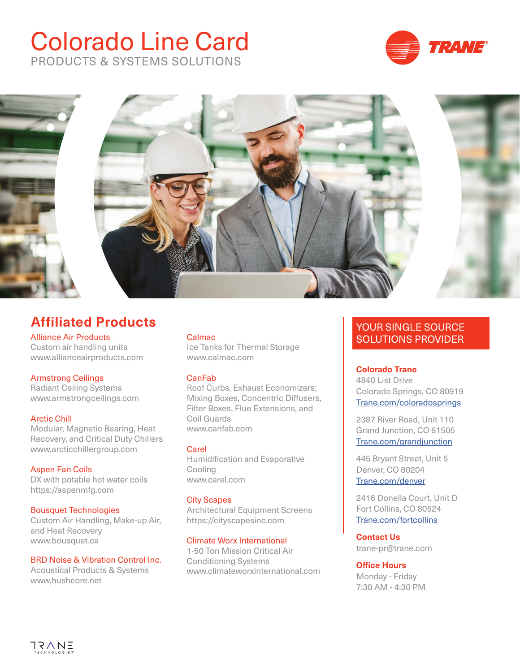# Colorado Line Card PRODUCTS & SYSTEMS SOLUTIONS





## **Affiliated Products**

Alliance Air Products Custom air handling units www.allianceairproducts.com

## Armstrong Ceilings

Radiant Ceiling Systems www.armstrongceilings.com

Arctic Chill Modular, Magnetic Bearing, Heat Recovery, and Critical Duty Chillers www.arcticchillergroup.com

Aspen Fan Coils DX with potable hot water coils https://aspenmfg.com

## Bousquet Technologies

Custom Air Handling, Make-up Air, and Heat Recovery www.bousquet.ca

#### BRD Noise & Vibration Control Inc.

Acoustical Products & Systems www,hushcore.net

#### **Calmac**

Ice Tanks for Thermal Storage www.calmac.com

#### CanFab

Roof Curbs, Exhaust Economizers; Mixing Boxes, Concentric Diffusers, Filter Boxes, Flue Extensions, and Coil Guards www.canfab.com

#### **Carel**

Humidification and Evaporative Cooling www.carel.com

#### City Scapes

Architectural Equipment Screens https://cityscapesinc.com

## Climate Worx International

1-50 Ton Mission Critical Air Conditioning Systems www.climateworxinternational.com

## YOUR SINGLE SOURCE SOLUTIONS PROVIDER

## **Colorado Trane**

4840 List Drive Colorado Springs, CO 80919 [Trane.com/coloradosprings](https://www.trane.com/commercial/north-america/us/en/contact-us/locate-sales-offices/coloradosprings.html)

2387 River Road, Unit 110 Grand Junction, CO 81505 [Trane.com/grandjunction](https://www.trane.com/commercial/north-america/us/en/contact-us/locate-sales-offices/grandjunction.html)

445 Bryant Street, Unit 5 Denver, CO 80204 [Trane.com/denver](https://www.trane.com/commercial/north-america/us/en/contact-us/locate-sales-offices/denver.html)

2416 Donella Court, Unit D Fort Collins, CO 80524 [Trane.com/fortcollins](https://www.trane.com/commercial/north-america/us/en/contact-us/locate-sales-offices/fortcollins.html)

**Contact Us**  trane-pr@trane.com

**Office Hours** Monday - Friday 7:30 AM - 4:30 PM